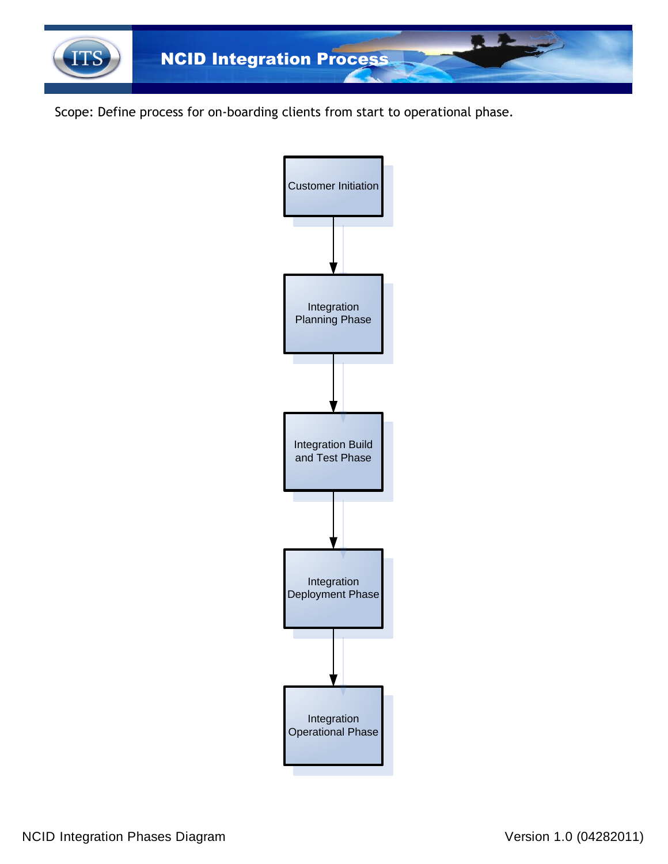

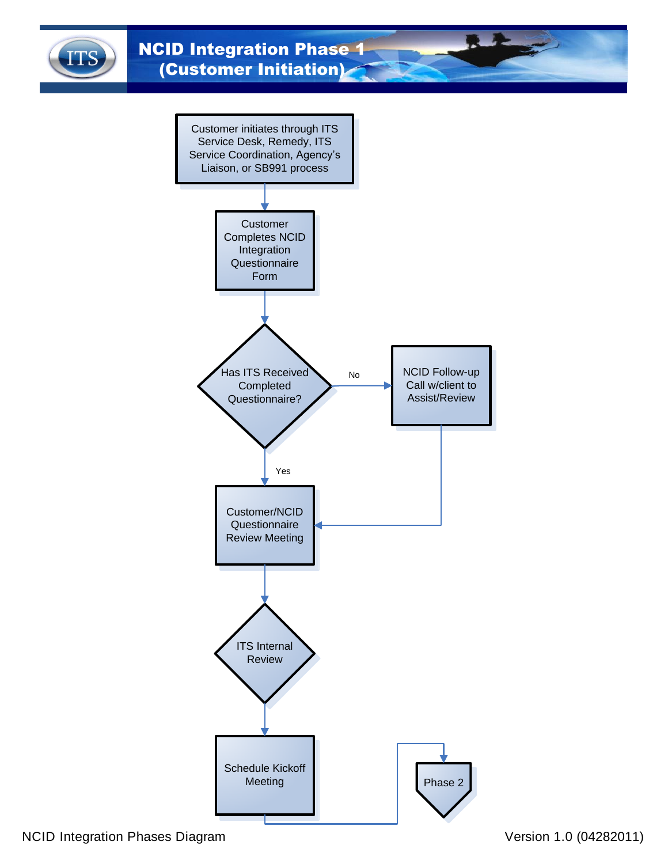<span id="page-1-0"></span>

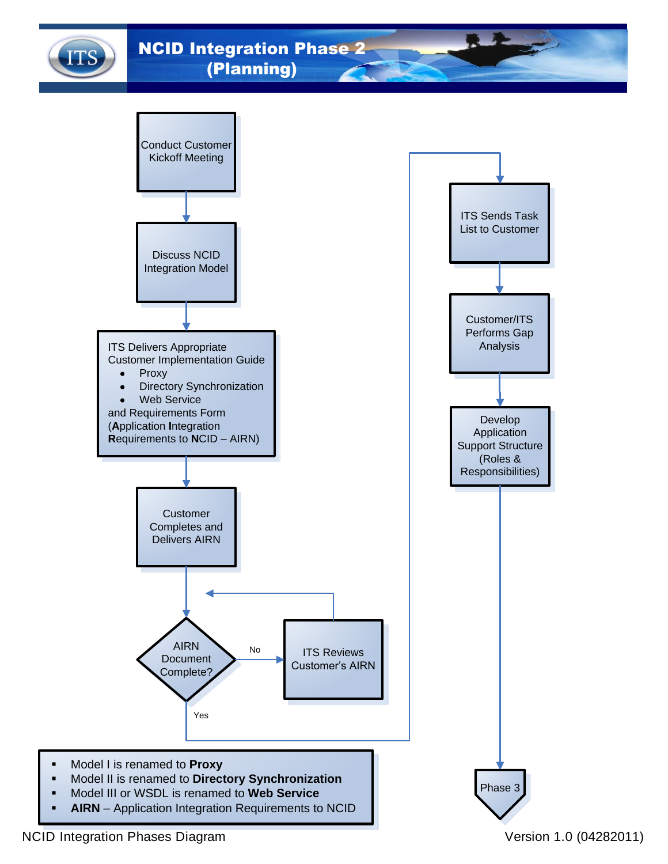<span id="page-2-0"></span>**AUTHORY ANGID Integration Phase 2** (Planning)

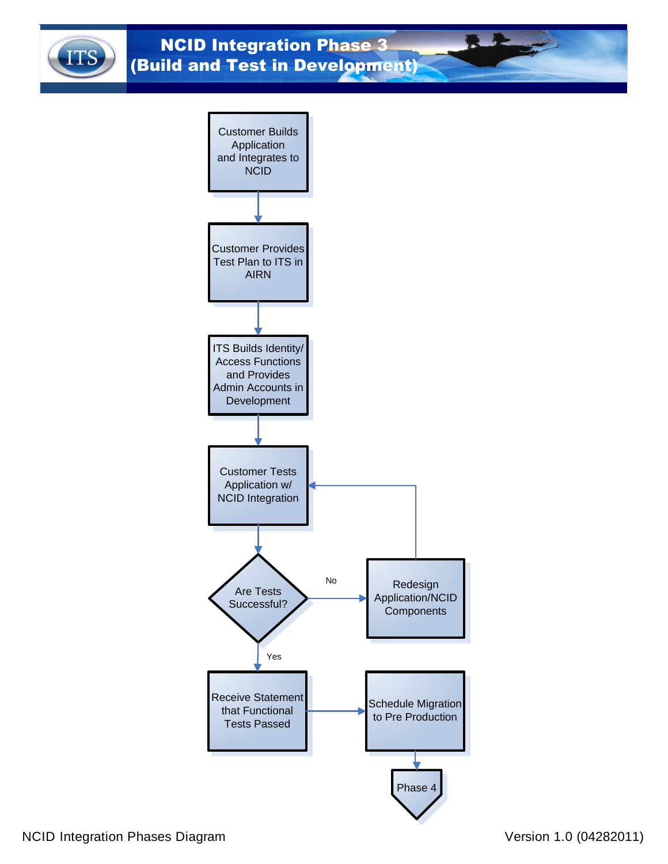<span id="page-3-0"></span>

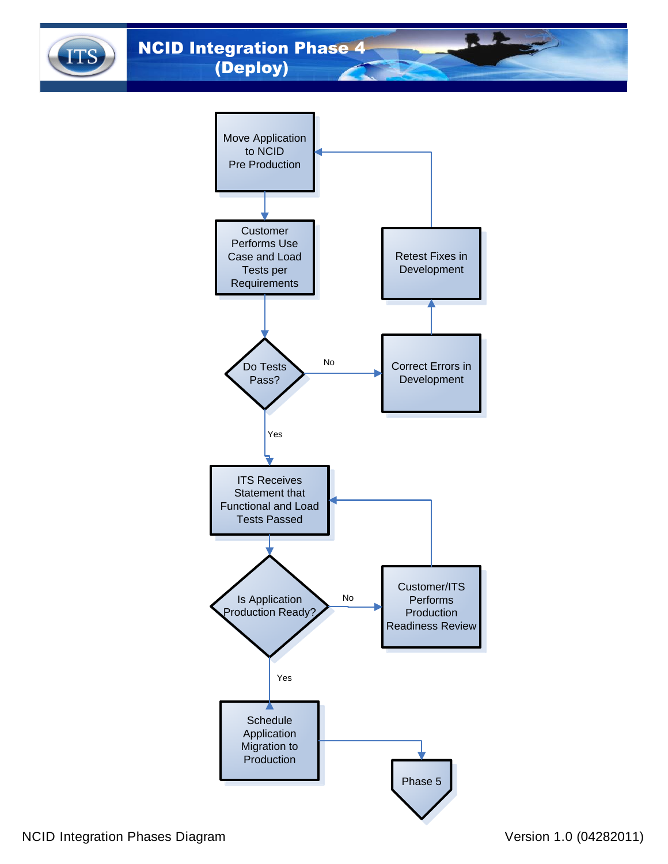<span id="page-4-0"></span>**ANGID Integration Phase 4** (Deploy)